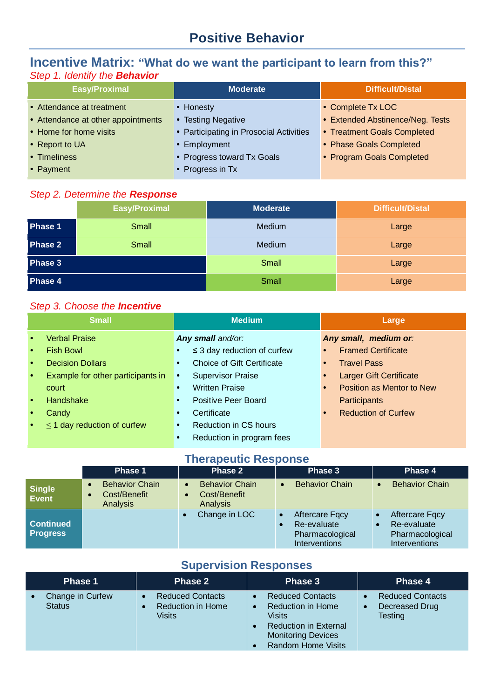# **Positive Behavior**

# **Incentive Matrix: "What do we want the participant to learn from this?"** *Step 1. Identify the Behavior*

| <b>Easy/Proximal</b>               | Moderate                                | <b>Difficult/Distal</b>          |
|------------------------------------|-----------------------------------------|----------------------------------|
|                                    |                                         |                                  |
| • Attendance at treatment          | • Honesty                               | • Complete Tx LOC                |
| • Attendance at other appointments | <b>Testing Negative</b>                 | • Extended Abstinence/Neg. Tests |
| • Home for home visits             | • Participating in Prosocial Activities | • Treatment Goals Completed      |
| • Report to UA                     | • Employment                            | • Phase Goals Completed          |
| • Timeliness                       | • Progress toward Tx Goals              | • Program Goals Completed        |
| • Payment                          | • Progress in Tx                        |                                  |

#### *Step 2. Determine the Response*

|         | <b>Easy/Proximal</b> | <b>Moderate</b> | <b>Difficult/Distal</b> |
|---------|----------------------|-----------------|-------------------------|
| Phase 1 | Small                | Medium          | Large                   |
| Phase 2 | <b>Small</b>         | Medium          | Large                   |
| Phase 3 |                      | Small           | Large                   |
| Phase 4 |                      | Small           | Large                   |

### *Step 3. Choose the Incentive*

|           | <b>Small</b>                      | <b>Medium</b>                                  | Large                      |
|-----------|-----------------------------------|------------------------------------------------|----------------------------|
| $\bullet$ | <b>Verbal Praise</b>              | Any small and/or:                              | Any small, medium or:      |
| $\bullet$ | <b>Fish Bowl</b>                  | $\leq$ 3 day reduction of curfew               | <b>Framed Certificate</b>  |
| $\bullet$ | <b>Decision Dollars</b>           | <b>Choice of Gift Certificate</b><br>$\bullet$ | <b>Travel Pass</b>         |
| $\bullet$ | Example for other participants in | <b>Supervisor Praise</b><br>$\bullet$          | Larger Gift Certificate    |
|           | court                             | <b>Written Praise</b><br>$\bullet$             | Position as Mentor to New  |
| $\bullet$ | Handshake                         | <b>Positive Peer Board</b><br>$\bullet$        | Participants               |
| $\bullet$ | Candy                             | Certificate                                    | <b>Reduction of Curfew</b> |
|           | $\leq$ 1 day reduction of curfew  | <b>Reduction in CS hours</b><br>$\bullet$      |                            |
|           |                                   | Reduction in program fees                      |                            |

### **Therapeutic Response**

|                                     | Phase 1                                           | Phase 2                                                  | Phase 3                                                                  | Phase 4                                                                               |  |  |
|-------------------------------------|---------------------------------------------------|----------------------------------------------------------|--------------------------------------------------------------------------|---------------------------------------------------------------------------------------|--|--|
| <b>Single</b><br>Event              | <b>Behavior Chain</b><br>Cost/Benefit<br>Analysis | <b>Behavior Chain</b><br>Cost/Benefit<br><b>Analysis</b> | <b>Behavior Chain</b>                                                    | <b>Behavior Chain</b>                                                                 |  |  |
| <b>Continued</b><br><b>Progress</b> |                                                   | Change in LOC                                            | <b>Aftercare Fgcy</b><br>Re-evaluate<br>Pharmacological<br>Interventions | <b>Aftercare Fgcy</b><br>$\bullet$<br>Re-evaluate<br>Pharmacological<br>Interventions |  |  |

# **Supervision Responses**

| Phase 1                           | <b>Phase 2</b>                                                       | Phase 3                                                                                                                                                              | <b>Phase 4</b>                                                           |
|-----------------------------------|----------------------------------------------------------------------|----------------------------------------------------------------------------------------------------------------------------------------------------------------------|--------------------------------------------------------------------------|
| Change in Curfew<br><b>Status</b> | <b>Reduced Contacts</b><br><b>Reduction in Home</b><br><b>Visits</b> | <b>Reduced Contacts</b><br><b>Reduction in Home</b><br>$\bullet$<br>Visits<br><b>Reduction in External</b><br><b>Monitoring Devices</b><br><b>Random Home Visits</b> | <b>Reduced Contacts</b><br>Decreased Drug<br>$\bullet$<br><b>Testing</b> |